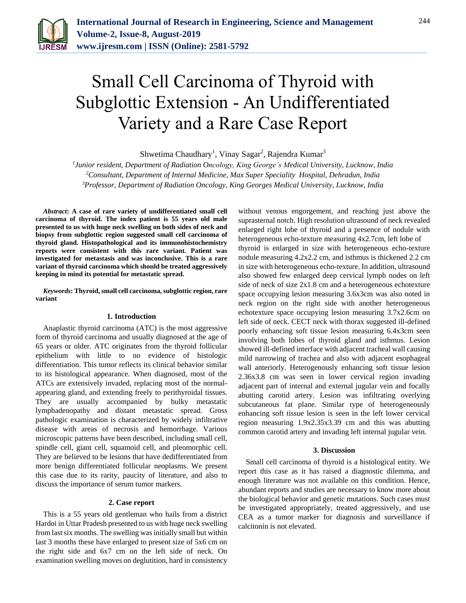

# Small Cell Carcinoma of Thyroid with Subglottic Extension - An Undifferentiated Variety and a Rare Case Report

Shwetima Chaudhary<sup>1</sup>, Vinay Sagar<sup>2</sup>, Rajendra Kumar<sup>3</sup>

*1 Junior resident, Department of Radiation Oncology, King George's Medical University, Lucknow, India <sup>2</sup>Consultant, Department of Internal Medicine, Max Super Speciality Hospital, Dehradun, India 3Professor, Department of Radiation Oncology, King Georges Medical University, Lucknow, India*

*Abstract***: A case of rare variety of undifferentiated small cell carcinoma of thyroid. The index patient is 55 years old male presented to us with huge neck swelling on both sides of neck and biopsy from subglottic region suggested small cell carcinoma of thyroid gland. Histopathological and its immunohistochemistry reports were consistent with this rare variant. Patient was investigated for metastasis and was inconclusive. This is a rare variant of thyroid carcinoma which should be treated aggressively keeping in mind its potential for metastatic spread.**

*Keywords***: Thyroid, small cell carcinoma, subglottic region, rare variant**

#### **1. Introduction**

Anaplastic thyroid carcinoma (ATC) is the most aggressive form of thyroid carcinoma and usually diagnosed at the age of 65 years or older. ATC originates from the thyroid follicular epithelium with little to no evidence of histologic differentiation. This tumor reflects its clinical behavior similar to its histological appearance. When diagnosed, most of the ATCs are extensively invaded, replacing most of the normalappearing gland, and extending freely to perithyroidal tissues. They are usually accompanied by bulky metastatic lymphadenopathy and distant metastatic spread. Gross pathologic examination is characterized by widely infiltrative disease with areas of necrosis and hemorrhage. Various microscopic patterns have been described, including small cell, spindle cell, giant cell, squamoid cell, and pleomorphic cell. They are believed to be lesions that have dedifferentiated from more benign differentiated follicular neoplasms. We present this case due to its rarity, paucity of literature, and also to discuss the importance of serum tumor markers.

## **2. Case report**

This is a 55 years old gentleman who hails from a district Hardoi in Uttar Pradesh presented to us with huge neck swelling from last six months. The swelling was initially small but within last 3 months these have enlarged to present size of 5x6 cm on the right side and 6x7 cm on the left side of neck. On examination swelling moves on deglutition, hard in consistency

without venous engorgement, and reaching just above the suprasternal notch. High resolution ultrasound of neck revealed enlarged right lobe of thyroid and a presence of nodule with heterogeneous echo-texture measuring 4x2.7cm, left lobe of thyroid is enlarged in size with heterogeneous echo-texture nodule measuring 4.2x2.2 cm, and isthmus is thickened 2.2 cm in size with heterogeneous echo-texture. In addition, ultrasound also showed few enlarged deep cervical lymph nodes on left side of neck of size 2x1.8 cm and a heterogeneous echotexture space occupying lesion measuring 3.6x3cm was also noted in neck region on the right side with another heterogeneous echotexture space occupying lesion measuring 3.7x2.6cm on left side of neck. CECT neck with thorax suggested ill-defined poorly enhancing soft tissue lesion measuring 6.4x3cm seen involving both lobes of thyroid gland and isthmus. Lesion showed ill-defined interface with adjacent tracheal wall causing mild narrowing of trachea and also with adjacent esophageal wall anteriorly. Heterogenously enhancing soft tissue lesion 2.36x3.8 cm was seen in lower cervical region invading adjacent part of internal and external jugular vein and focally abutting carotid artery. Lesion was infiltrating overlying subcutaneous fat plane. Similar type of heterogeneously enhancing soft tissue lesion is seen in the left lower cervical region measuring 1.9x2.35x3.39 cm and this was abutting common carotid artery and invading left internal jugular vein.

#### **3. Discussion**

Small cell carcinoma of thyroid is a histological entity. We report this case as it has raised a diagnostic dilemma, and enough literature was not available on this condition. Hence, abundant reports and studies are necessary to know more about the biological behavior and genetic mutations. Such cases must be investigated appropriately, treated aggressively, and use CEA as a tumor marker for diagnosis and surveillance if calcitonin is not elevated.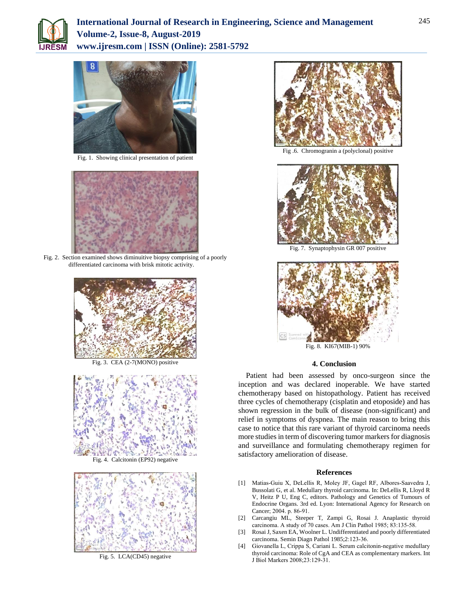



Fig. 1. Showing clinical presentation of patient



Fig. 2. Section examined shows diminuitive biopsy comprising of a poorly differentiated carcinoma with brisk mitotic activity.



Fig. 3. CEA (2-7(MONO) positive



Fig. 4. Calcitonin (EP92) negative



Fig. 5. LCA(CD45) negative



Fig .6. Chromogranin a (polyclonal) positive



Fig. 7. Synaptophysin GR 007 positive



### **4. Conclusion**

Patient had been assessed by onco-surgeon since the inception and was declared inoperable. We have started chemotherapy based on histopathology. Patient has received three cycles of chemotherapy (cisplatin and etoposide) and has shown regression in the bulk of disease (non-significant) and relief in symptoms of dyspnea. The main reason to bring this case to notice that this rare variant of thyroid carcinoma needs more studies in term of discovering tumor markers for diagnosis and surveillance and formulating chemotherapy regimen for satisfactory amelioration of disease.

#### **References**

- [1] Matias-Guiu X, DeLellis R, Moley JF, Gagel RF, Albores-Saavedra J, Bussolati G, et al. Medullary thyroid carcinoma. In: DeLellis R, Lloyd R V, Heitz P U, Eng C, editors. Pathology and Genetics of Tumours of Endocrine Organs. 3rd ed. Lyon: International Agency for Research on Cancer; 2004. p. 86‑91.
- [2] Carcangiu ML, Steeper T, Zampi G, Rosai J. Anaplastic thyroid carcinoma. A study of 70 cases. Am J Clin Pathol 1985; 83:135-58.
- [3] Rosai J, Saxen EA, Woolner L. Undifferentiated and poorly differentiated carcinoma. Semin Diagn Pathol 1985;2:123‑36.
- [4] Giovanella L, Crippa S, Cariani L. Serum calcitonin-negative medullary thyroid carcinoma: Role of CgA and CEA as complementary markers. Int J Biol Markers 2008;23:129‑31.